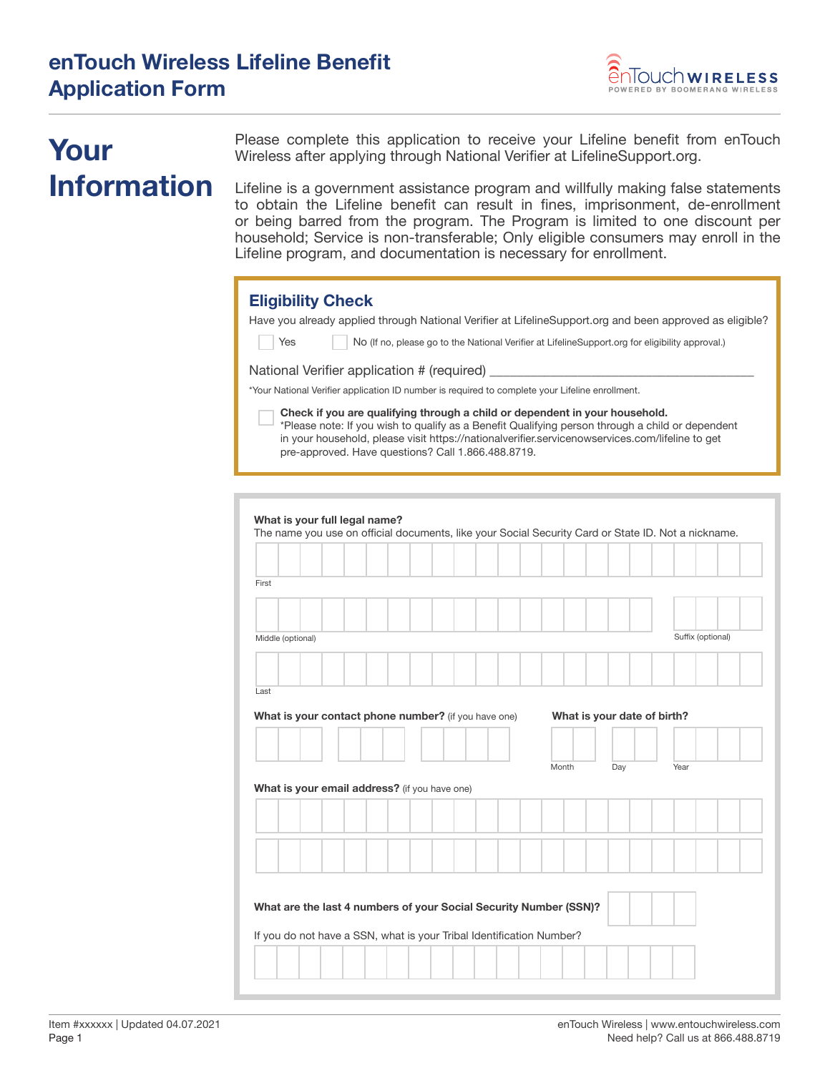

# **Your Information**

Please complete this application to receive your Lifeline benefit from enTouch Wireless after applying through National Verifier at LifelineSupport.org.

Lifeline is a government assistance program and willfully making false statements to obtain the Lifeline benefit can result in fines, imprisonment, de-enrollment or being barred from the program. The Program is limited to one discount per household; Service is non-transferable; Only eligible consumers may enroll in the Lifeline program, and documentation is necessary for enrollment.

### **Eligibility Check**

Have you already applied through National Verifier at LifelineSupport.org and been approved as eligible?

Yes No (If no, please go to the National Verifier at LifelineSupport.org for eligibility approval.)

National Verifier application # (required)

\*Your National Verifier application ID number is required to complete your Lifeline enrollment.

**Check if you are qualifying through a child or dependent in your household.**  \*Please note: If you wish to qualify as a Benefit Qualifying person through a child or dependent in your household, please visit https://nationalverifier.servicenowservices.com/lifeline to get pre-approved. Have questions? Call 1.866.488.8719.

|                                                                                                                                           | What is your full legal name? |  |       |                             |                   |
|-------------------------------------------------------------------------------------------------------------------------------------------|-------------------------------|--|-------|-----------------------------|-------------------|
| The name you use on official documents, like your Social Security Card or State ID. Not a nickname.                                       |                               |  |       |                             |                   |
|                                                                                                                                           |                               |  |       |                             |                   |
| First                                                                                                                                     |                               |  |       |                             |                   |
|                                                                                                                                           |                               |  |       |                             |                   |
|                                                                                                                                           |                               |  |       |                             |                   |
| Middle (optional)                                                                                                                         |                               |  |       |                             | Suffix (optional) |
|                                                                                                                                           |                               |  |       |                             |                   |
|                                                                                                                                           |                               |  |       |                             |                   |
| Last                                                                                                                                      |                               |  |       |                             |                   |
| What is your contact phone number? (if you have one)                                                                                      |                               |  |       | What is your date of birth? |                   |
|                                                                                                                                           |                               |  |       |                             |                   |
|                                                                                                                                           |                               |  |       |                             |                   |
|                                                                                                                                           |                               |  | Month | Day                         | Year              |
|                                                                                                                                           |                               |  |       |                             |                   |
|                                                                                                                                           |                               |  |       |                             |                   |
|                                                                                                                                           |                               |  |       |                             |                   |
|                                                                                                                                           |                               |  |       |                             |                   |
| What is your email address? (if you have one)                                                                                             |                               |  |       |                             |                   |
|                                                                                                                                           |                               |  |       |                             |                   |
|                                                                                                                                           |                               |  |       |                             |                   |
|                                                                                                                                           |                               |  |       |                             |                   |
|                                                                                                                                           |                               |  |       |                             |                   |
| What are the last 4 numbers of your Social Security Number (SSN)?<br>If you do not have a SSN, what is your Tribal Identification Number? |                               |  |       |                             |                   |
|                                                                                                                                           |                               |  |       |                             |                   |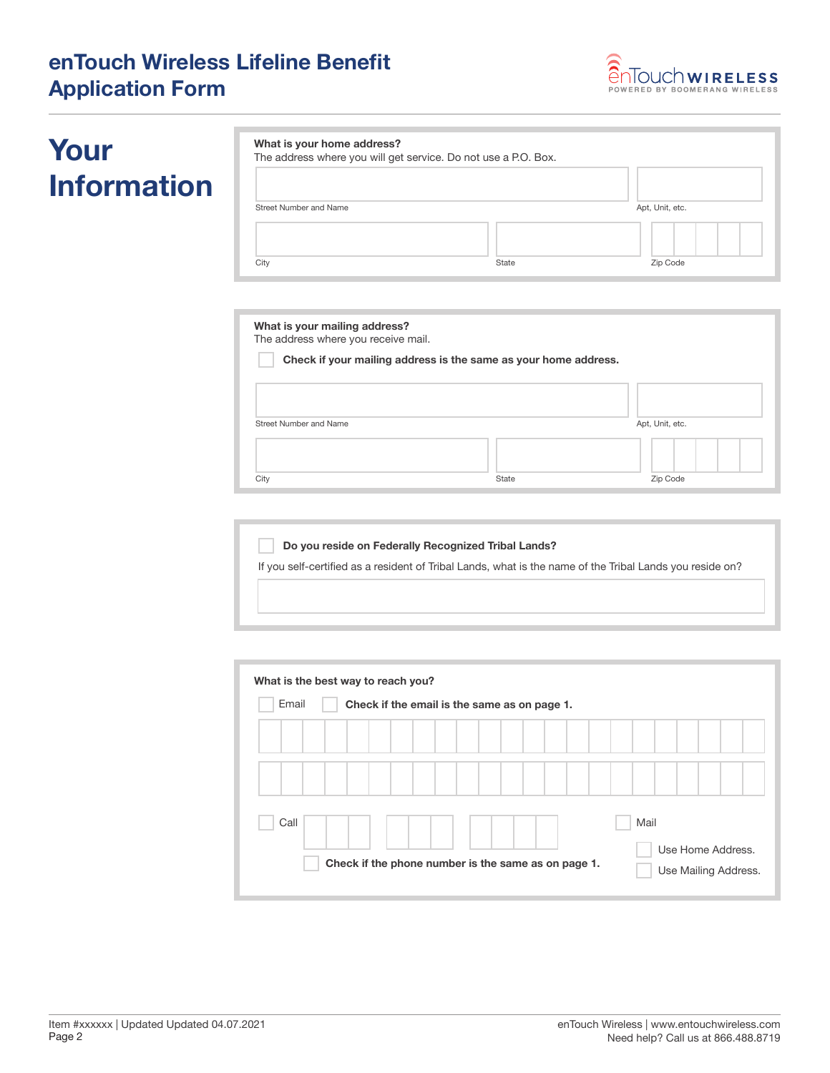## **enTouch Wireless Lifeline Benefit Application Form**



# **Your Information**

|                        | The address where you will get service. Do not use a P.O. Box. |                 |
|------------------------|----------------------------------------------------------------|-----------------|
| Street Number and Name |                                                                | Apt, Unit, etc. |
|                        |                                                                |                 |

| The address where you receive mail. |                                                                 |                 |
|-------------------------------------|-----------------------------------------------------------------|-----------------|
|                                     | Check if your mailing address is the same as your home address. |                 |
|                                     |                                                                 |                 |
|                                     |                                                                 |                 |
| Street Number and Name              |                                                                 | Apt, Unit, etc. |
|                                     |                                                                 |                 |
|                                     |                                                                 |                 |

| Do you reside on Federally Recognized Tribal Lands?                                                      |
|----------------------------------------------------------------------------------------------------------|
| If you self-certified as a resident of Tribal Lands, what is the name of the Tribal Lands you reside on? |
|                                                                                                          |
|                                                                                                          |

| What is the best way to reach you?                    |                                                     |  |  |  |  |  |  |                                           |  |      |  |  |  |  |
|-------------------------------------------------------|-----------------------------------------------------|--|--|--|--|--|--|-------------------------------------------|--|------|--|--|--|--|
| Email<br>Check if the email is the same as on page 1. |                                                     |  |  |  |  |  |  |                                           |  |      |  |  |  |  |
|                                                       |                                                     |  |  |  |  |  |  |                                           |  |      |  |  |  |  |
|                                                       |                                                     |  |  |  |  |  |  |                                           |  |      |  |  |  |  |
| Call                                                  |                                                     |  |  |  |  |  |  |                                           |  | Mail |  |  |  |  |
|                                                       | Check if the phone number is the same as on page 1. |  |  |  |  |  |  | Use Home Address.<br>Use Mailing Address. |  |      |  |  |  |  |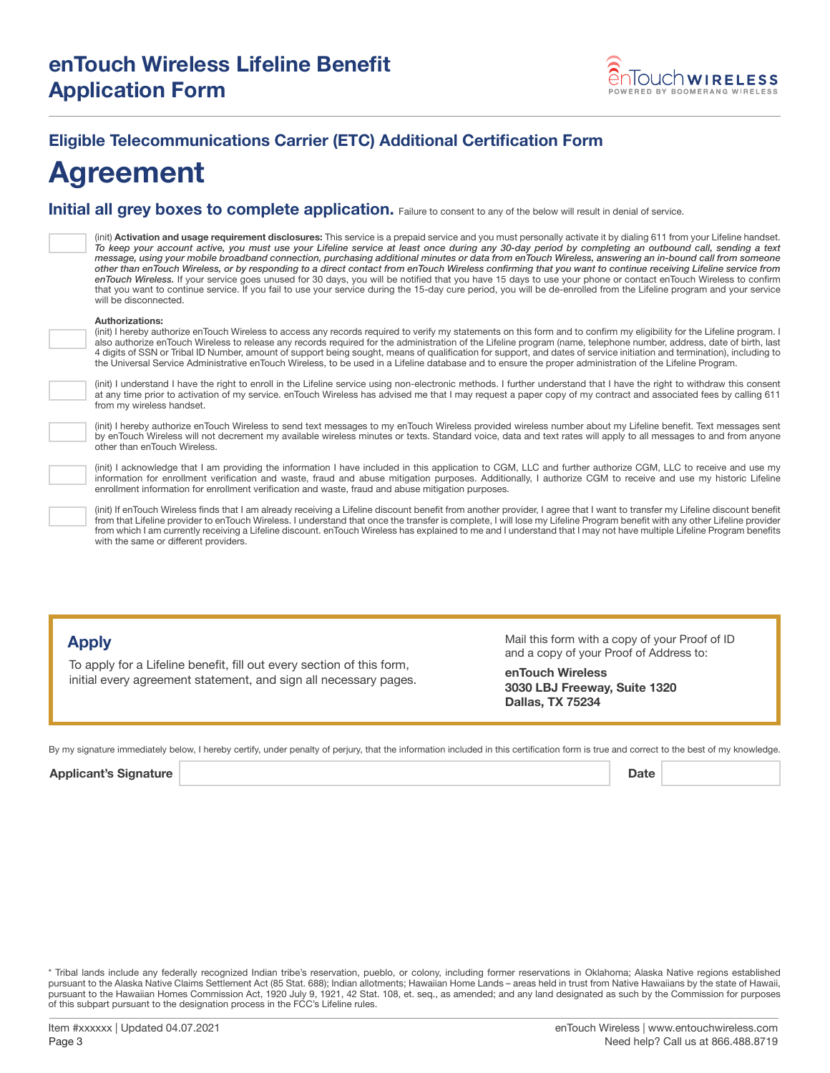

## **Eligible Telecommunications Carrier (ETC) Additional Certification Form**

## **Agreement**

**Initial all grey boxes to complete application.** Failure to consent to any of the below will result in denial of service.

(init) **Activation and usage requirement disclosures:** This service is a prepaid service and you must personally activate it by dialing 611 from your Lifeline handset.<br>*To keep your account active, you must use your Lifeli message, using your mobile broadband connection, purchasing additional minutes or data from enTouch Wireless, answering an in-bound call from someone other than enTouch Wireless, or by responding to a direct contact from enTouch Wireless confirming that you want to continue receiving Lifeline service from enTouch Wireless.* If your service goes unused for 30 days, you will be notified that you have 15 days to use your phone or contact enTouch Wireless to confirm that you want to continue service. If you fail to use your service during the 15-day cure period, you will be de-enrolled from the Lifeline program and your service will be disconnected.

#### **Authorizations:**

(init) I hereby authorize enTouch Wireless to access any records required to verify my statements on this form and to confirm my eligibility for the Lifeline program. I also authorize enTouch Wireless to release any records required for the administration of the Lifeline program (name, telephone number, address, date of birth, last 4 digits of SSN or Tribal ID Number, amount of support being sought, means of qualification for support, and dates of service initiation and termination), including to the Universal Service Administrative enTouch Wireless, to be used in a Lifeline database and to ensure the proper administration of the Lifeline Program.

(init) I understand I have the right to enroll in the Lifeline service using non-electronic methods. I further understand that I have the right to withdraw this consent at any time prior to activation of my service. enTouch Wireless has advised me that I may request a paper copy of my contract and associated fees by calling 611 from my wireless handset.

(init) I hereby authorize enTouch Wireless to send text messages to my enTouch Wireless provided wireless number about my Lifeline benefit. Text messages sent by enTouch Wireless will not decrement my available wireless minutes or texts. Standard voice, data and text rates will apply to all messages to and from anyone other than enTouch Wireless.

(init) I acknowledge that I am providing the information I have included in this application to CGM, LLC and further authorize CGM, LLC to receive and use my information for enrollment verification and waste, fraud and abuse mitigation purposes. Additionally, I authorize CGM to receive and use my historic Lifeline enrollment information for enrollment verification and waste, fraud and abuse mitigation purposes.

(init) If enTouch Wireless finds that I am already receiving a Lifeline discount benefit from another provider, I agree that I want to transfer my Lifeline discount benefit from that Lifeline provider to enTouch Wireless. I understand that once the transfer is complete, I will lose my Lifeline Program benefit with any other Lifeline provider from which I am currently receiving a Lifeline discount. enTouch Wireless has explained to me and I understand that I may not have multiple Lifeline Program benefits with the same or different providers.

#### **Apply**

To apply for a Lifeline benefit, fill out every section of this form, initial every agreement statement, and sign all necessary pages. Mail this form with a copy of your Proof of ID and a copy of your Proof of Address to:

**enTouch Wireless 3030 LBJ Freeway, Suite 1320 Dallas, TX 75234**

By my signature immediately below, I hereby certify, under penalty of perjury, that the information included in this certification form is true and correct to the best of my knowledge.

Applicant's Signature **Date** 

\* Tribal lands include any federally recognized Indian tribe's reservation, pueblo, or colony, including former reservations in Oklahoma; Alaska Native regions established pursuant to the Alaska Native Claims Settlement Act (85 Stat. 688); Indian allotments; Hawaiian Home Lands – areas held in trust from Native Hawaiians by the state of Hawaii, pursuant to the Hawaiian Homes Commission Act, 1920 July 9, 1921, 42 Stat. 108, et. seq., as amended; and any land designated as such by the Commission for purposes of this subpart pursuant to the designation process in the FCC's Lifeline rules.